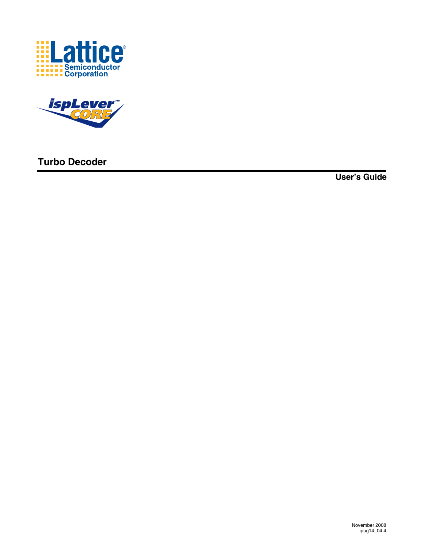



**Turbo Decoder**

**User's Guide**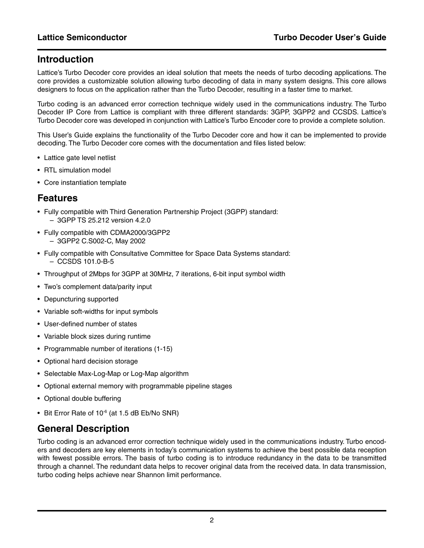## **Introduction**

Lattice's Turbo Decoder core provides an ideal solution that meets the needs of turbo decoding applications. The core provides a customizable solution allowing turbo decoding of data in many system designs. This core allows designers to focus on the application rather than the Turbo Decoder, resulting in a faster time to market.

Turbo coding is an advanced error correction technique widely used in the communications industry. The Turbo Decoder IP Core from Lattice is compliant with three different standards: 3GPP, 3GPP2 and CCSDS. Lattice's Turbo Decoder core was developed in conjunction with Lattice's Turbo Encoder core to provide a complete solution.

This User's Guide explains the functionality of the Turbo Decoder core and how it can be implemented to provide decoding. The Turbo Decoder core comes with the documentation and files listed below:

- Lattice gate level netlist
- RTL simulation model
- Core instantiation template

## **Features**

- Fully compatible with Third Generation Partnership Project (3GPP) standard: – 3GPP TS 25.212 version 4.2.0
- Fully compatible with CDMA2000/3GPP2 – 3GPP2 C.S002-C, May 2002
- Fully compatible with Consultative Committee for Space Data Systems standard: – CCSDS 101.0-B-5
- Throughput of 2Mbps for 3GPP at 30MHz, 7 iterations, 6-bit input symbol width
- Two's complement data/parity input
- Depuncturing supported
- Variable soft-widths for input symbols
- User-defined number of states
- Variable block sizes during runtime
- Programmable number of iterations (1-15)
- Optional hard decision storage
- Selectable Max-Log-Map or Log-Map algorithm
- Optional external memory with programmable pipeline stages
- Optional double buffering
- Bit Error Rate of 10<sup>-6</sup> (at 1.5 dB Eb/No SNR)

## **General Description**

Turbo coding is an advanced error correction technique widely used in the communications industry. Turbo encoders and decoders are key elements in today's communication systems to achieve the best possible data reception with fewest possible errors. The basis of turbo coding is to introduce redundancy in the data to be transmitted through a channel. The redundant data helps to recover original data from the received data. In data transmission, turbo coding helps achieve near Shannon limit performance.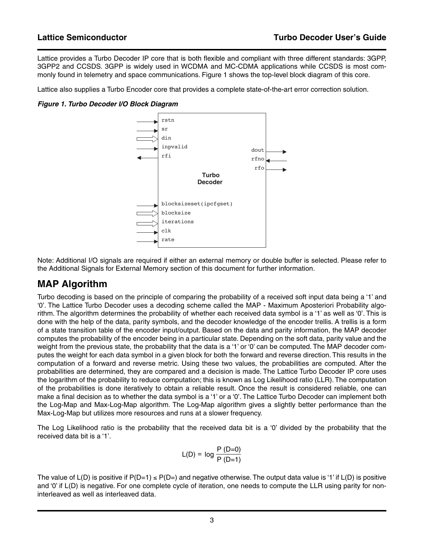Lattice provides a Turbo Decoder IP core that is both flexible and compliant with three different standards: 3GPP, 3GPP2 and CCSDS. 3GPP is widely used in WCDMA and MC-CDMA applications while CCSDS is most commonly found in telemetry and space communications. [Figure 1](#page-2-0) shows the top-level block diagram of this core.

Lattice also supplies a Turbo Encoder core that provides a complete state-of-the-art error correction solution.

<span id="page-2-0"></span>



Note: Additional I/O signals are required if either an external memory or double buffer is selected. Please refer to the Additional Signals for External Memory section of this document for further information.

## **MAP Algorithm**

Turbo decoding is based on the principle of comparing the probability of a received soft input data being a '1' and '0'. The Lattice Turbo Decoder uses a decoding scheme called the MAP - Maximum Aposteriori Probability algorithm. The algorithm determines the probability of whether each received data symbol is a '1' as well as '0'. This is done with the help of the data, parity symbols, and the decoder knowledge of the encoder trellis. A trellis is a form of a state transition table of the encoder input/output. Based on the data and parity information, the MAP decoder computes the probability of the encoder being in a particular state. Depending on the soft data, parity value and the weight from the previous state, the probability that the data is a '1' or '0' can be computed. The MAP decoder computes the weight for each data symbol in a given block for both the forward and reverse direction. This results in the computation of a forward and reverse metric. Using these two values, the probabilities are computed. After the probabilities are determined, they are compared and a decision is made. The Lattice Turbo Decoder IP core uses the logarithm of the probability to reduce computation; this is known as Log Likelihood ratio (LLR). The computation of the probabilities is done iteratively to obtain a reliable result. Once the result is considered reliable, one can make a final decision as to whether the data symbol is a '1' or a '0'. The Lattice Turbo Decoder can implement both the Log-Map and Max-Log-Map algorithm. The Log-Map algorithm gives a slightly better performance than the Max-Log-Map but utilizes more resources and runs at a slower frequency.

The Log Likelihood ratio is the probability that the received data bit is a '0' divided by the probability that the received data bit is a '1'.

$$
L(D) = \log \frac{P(D=0)}{P(D=1)}
$$

The value of L(D) is positive if  $P(D=1) \le P(D=)$  and negative otherwise. The output data value is '1' if L(D) is positive and '0' if L(D) is negative. For one complete cycle of iteration, one needs to compute the LLR using parity for noninterleaved as well as interleaved data.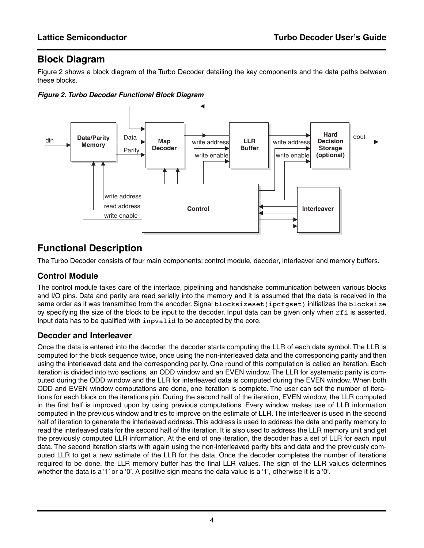## **Block Diagram**

[Figure 2](#page-3-0) shows a block diagram of the Turbo Decoder detailing the key components and the data paths between these blocks.

<span id="page-3-0"></span>



# **Functional Description**

The Turbo Decoder consists of four main components: control module, decoder, interleaver and memory buffers.

## **Control Module**

The control module takes care of the interface, pipelining and handshake communication between various blocks and I/O pins. Data and parity are read serially into the memory and it is assumed that the data is received in the same order as it was transmitted from the encoder. Signal blocksizeset (ipcfgset) initializes the blocksize by specifying the size of the block to be input to the decoder. Input data can be given only when rfi is asserted. Input data has to be qualified with inpvalid to be accepted by the core.

## **Decoder and Interleaver**

Once the data is entered into the decoder, the decoder starts computing the LLR of each data symbol. The LLR is computed for the block sequence twice, once using the non-interleaved data and the corresponding parity and then using the interleaved data and the corresponding parity. One round of this computation is called an iteration. Each iteration is divided into two sections, an ODD window and an EVEN window. The LLR for systematic parity is computed during the ODD window and the LLR for interleaved data is computed during the EVEN window. When both ODD and EVEN window computations are done, one iteration is complete. The user can set the number of iterations for each block on the iterations pin. During the second half of the iteration, EVEN window, the LLR computed in the first half is improved upon by using previous computations. Every window makes use of LLR information computed in the previous window and tries to improve on the estimate of LLR. The interleaver is used in the second half of iteration to generate the interleaved address. This address is used to address the data and parity memory to read the interleaved data for the second half of the iteration. It is also used to address the LLR memory unit and get the previously computed LLR information. At the end of one iteration, the decoder has a set of LLR for each input data. The second iteration starts with again using the non-interleaved parity bits and data and the previously computed LLR to get a new estimate of the LLR for the data. Once the decoder completes the number of iterations required to be done, the LLR memory buffer has the final LLR values. The sign of the LLR values determines whether the data is a '1' or a '0'. A positive sign means the data value is a '1', otherwise it is a '0'.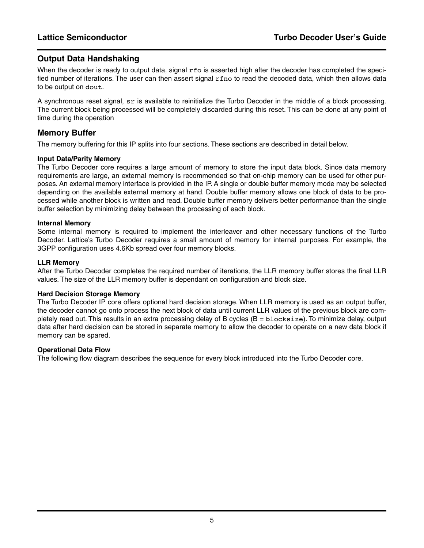#### **Output Data Handshaking**

When the decoder is ready to output data, signal rfo is asserted high after the decoder has completed the specified number of iterations. The user can then assert signal rfno to read the decoded data, which then allows data to be output on dout.

A synchronous reset signal, sr is available to reinitialize the Turbo Decoder in the middle of a block processing. The current block being processed will be completely discarded during this reset. This can be done at any point of time during the operation

#### **Memory Buffer**

The memory buffering for this IP splits into four sections. These sections are described in detail below.

#### **Input Data/Parity Memory**

The Turbo Decoder core requires a large amount of memory to store the input data block. Since data memory requirements are large, an external memory is recommended so that on-chip memory can be used for other purposes. An external memory interface is provided in the IP. A single or double buffer memory mode may be selected depending on the available external memory at hand. Double buffer memory allows one block of data to be processed while another block is written and read. Double buffer memory delivers better performance than the single buffer selection by minimizing delay between the processing of each block.

#### **Internal Memory**

Some internal memory is required to implement the interleaver and other necessary functions of the Turbo Decoder. Lattice's Turbo Decoder requires a small amount of memory for internal purposes. For example, the 3GPP configuration uses 4.6Kb spread over four memory blocks.

#### **LLR Memory**

After the Turbo Decoder completes the required number of iterations, the LLR memory buffer stores the final LLR values. The size of the LLR memory buffer is dependant on configuration and block size.

#### **Hard Decision Storage Memory**

The Turbo Decoder IP core offers optional hard decision storage. When LLR memory is used as an output buffer, the decoder cannot go onto process the next block of data until current LLR values of the previous block are completely read out. This results in an extra processing delay of B cycles (B = blocksize). To minimize delay, output data after hard decision can be stored in separate memory to allow the decoder to operate on a new data block if memory can be spared.

#### **Operational Data Flow**

The following flow diagram describes the sequence for every block introduced into the Turbo Decoder core.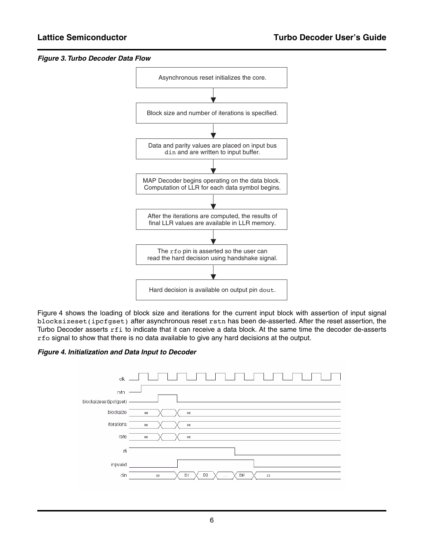#### *Figure 3. Turbo Decoder Data Flow*



[Figure 4](#page-5-0) shows the loading of block size and iterations for the current input block with assertion of input signal blocksizeset(ipcfgset) after asynchronous reset rstn has been de-asserted. After the reset assertion, the Turbo Decoder asserts rfi to indicate that it can receive a data block. At the same time the decoder de-asserts rfo signal to show that there is no data available to give any hard decisions at the output.

<span id="page-5-0"></span>*Figure 4. Initialization and Data Input to Decoder*

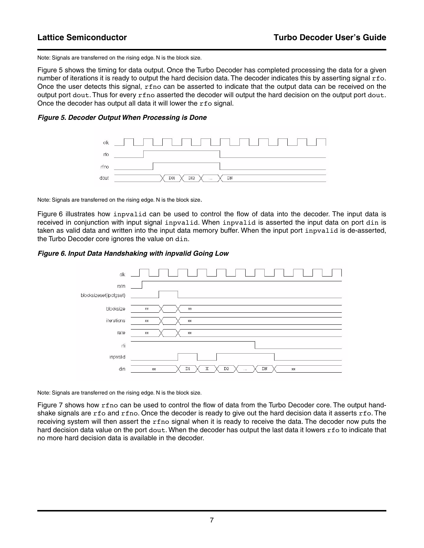Note: Signals are transferred on the rising edge. N is the block size.

[Figure 5](#page-6-0) shows the timing for data output. Once the Turbo Decoder has completed processing the data for a given number of iterations it is ready to output the hard decision data. The decoder indicates this by asserting signal  $rfo$ . Once the user detects this signal, rfno can be asserted to indicate that the output data can be received on the output port dout. Thus for every rfno asserted the decoder will output the hard decision on the output port dout. Once the decoder has output all data it will lower the rfo signal.

#### <span id="page-6-0"></span>*Figure 5. Decoder Output When Processing is Done*



Note: Signals are transferred on the rising edge. N is the block size.

[Figure 6](#page-6-1) illustrates how inpvalid can be used to control the flow of data into the decoder. The input data is received in conjunction with input signal inpvalid. When inpvalid is asserted the input data on port din is taken as valid data and written into the input data memory buffer. When the input port inpvalid is de-asserted, the Turbo Decoder core ignores the value on din.

#### <span id="page-6-1"></span>*Figure 6. Input Data Handshaking with inpvalid Going Low*



Note: Signals are transferred on the rising edge. N is the block size.

[Figure 7](#page-7-0) shows how rfno can be used to control the flow of data from the Turbo Decoder core. The output handshake signals are rfo and rfno. Once the decoder is ready to give out the hard decision data it asserts rfo. The receiving system will then assert the rfno signal when it is ready to receive the data. The decoder now puts the hard decision data value on the port dout. When the decoder has output the last data it lowers rfo to indicate that no more hard decision data is available in the decoder.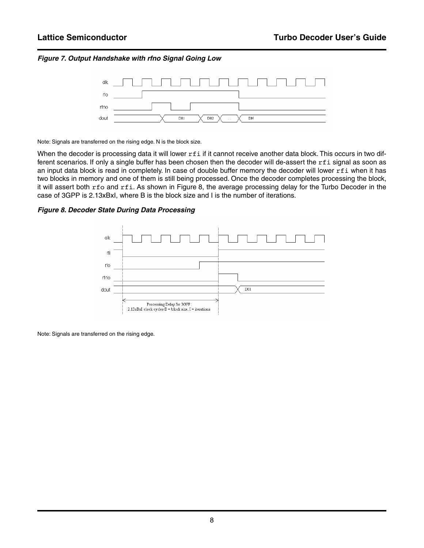#### <span id="page-7-0"></span>*Figure 7. Output Handshake with rfno Signal Going Low*



Note: Signals are transferred on the rising edge. N is the block size.

When the decoder is processing data it will lower rfi if it cannot receive another data block. This occurs in two different scenarios. If only a single buffer has been chosen then the decoder will de-assert the rfi signal as soon as an input data block is read in completely. In case of double buffer memory the decoder will lower rfi when it has two blocks in memory and one of them is still being processed. Once the decoder completes processing the block, it will assert both rfo and rfi. As shown in [Figure 8](#page-7-1), the average processing delay for the Turbo Decoder in the case of 3GPP is 2.13xBxI, where B is the block size and I is the number of iterations.

<span id="page-7-1"></span>



Note: Signals are transferred on the rising edge.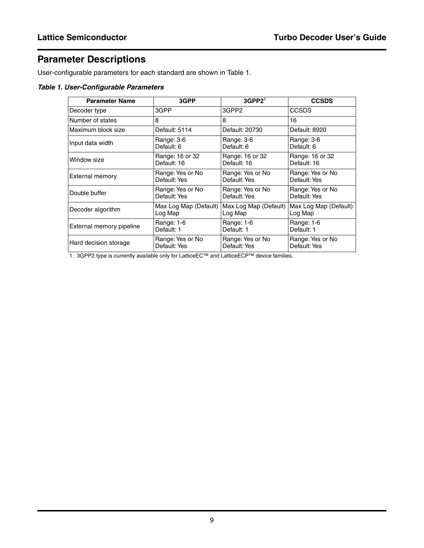# **Parameter Descriptions**

User-configurable parameters for each standard are shown in [Table 1](#page-8-0).

#### <span id="page-8-0"></span>*Table 1. User-Configurable Parameters*

| <b>Parameter Name</b>    | 3GPP                  | 3GPP2 <sup>1</sup>    | <b>CCSDS</b>          |
|--------------------------|-----------------------|-----------------------|-----------------------|
| Decoder type             | 3GPP                  | 3GPP2                 | <b>CCSDS</b>          |
| Number of states         | 8                     | 8                     | 16                    |
| Maximum block size       | Default: 5114         | Default: 20730        | Default: 8920         |
| Input data width         | Range: 3-6            | Range: 3-6            | Range: 3-6            |
|                          | Default: 6            | Default: 6            | Default: 6            |
| Window size              | Range: 16 or 32       | Range: 16 or 32       | Range: 16 or 32       |
|                          | Default: 16           | Default: 16           | Default: 16           |
| External memory          | Range: Yes or No      | Range: Yes or No      | Range: Yes or No      |
|                          | Default: Yes          | Default: Yes          | Default: Yes          |
| Double buffer            | Range: Yes or No      | Range: Yes or No      | Range: Yes or No      |
|                          | Default: Yes          | Default: Yes          | Default: Yes          |
| Decoder algorithm        | Max Log Map (Default) | Max Log Map (Default) | Max Log Map (Default) |
|                          | Log Map               | Log Map               | Log Map               |
| External memory pipeline | Range: 1-6            | Range: 1-6            | Range: 1-6            |
|                          | Default: 1            | Default: 1            | Default: 1            |
| Hard decision storage    | Range: Yes or No      | Range: Yes or No      | Range: Yes or No      |
|                          | Default: Yes          | Default: Yes          | Default: Yes          |

1. 3GPP2 type is currently available only for LatticeEC™ and LatticeECP™ device families.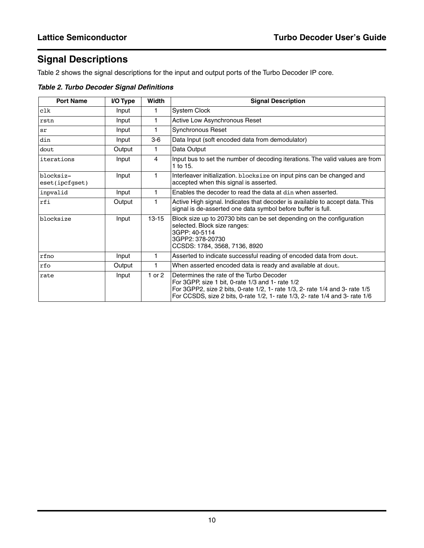# **Signal Descriptions**

[Table 2](#page-9-0) shows the signal descriptions for the input and output ports of the Turbo Decoder IP core.

<span id="page-9-0"></span>

|  |  |  |  | Table 2. Turbo Decoder Signal Definitions |
|--|--|--|--|-------------------------------------------|
|--|--|--|--|-------------------------------------------|

| <b>Port Name</b>            | I/O Type | <b>Width</b> | <b>Signal Description</b>                                                                                                                                                                                                                                    |
|-----------------------------|----------|--------------|--------------------------------------------------------------------------------------------------------------------------------------------------------------------------------------------------------------------------------------------------------------|
| clk                         | Input    | 1            | <b>System Clock</b>                                                                                                                                                                                                                                          |
| rstn                        | Input    | 1            | Active Low Asynchronous Reset                                                                                                                                                                                                                                |
| sr                          | Input    | 1            | Synchronous Reset                                                                                                                                                                                                                                            |
| din                         | Input    | $3-6$        | Data Input (soft encoded data from demodulator)                                                                                                                                                                                                              |
| dout                        | Output   | 1.           | Data Output                                                                                                                                                                                                                                                  |
| iterations                  | Input    | 4            | Input bus to set the number of decoding iterations. The valid values are from<br>1 to $15.$                                                                                                                                                                  |
| blocksiz-<br>eset(ipcfgset) | Input    | 1            | Interleaver initialization. blocksize on input pins can be changed and<br>accepted when this signal is asserted.                                                                                                                                             |
| inpvalid                    | Input    | 1            | Enables the decoder to read the data at din when asserted.                                                                                                                                                                                                   |
| rfi                         | Output   | 1            | Active High signal. Indicates that decoder is available to accept data. This<br>signal is de-asserted one data symbol before buffer is full.                                                                                                                 |
| blocksize                   | Input    | $13 - 15$    | Block size up to 20730 bits can be set depending on the configuration<br>selected. Block size ranges:<br>3GPP: 40-5114<br>3GPP2: 378-20730<br>CCSDS: 1784, 3568, 7136, 8920                                                                                  |
| rfno                        | Input    | 1            | Asserted to indicate successful reading of encoded data from dout.                                                                                                                                                                                           |
| rfo                         | Output   | 1            | When asserted encoded data is ready and available at dout.                                                                                                                                                                                                   |
| rate                        | Input    | 1 or $2$     | Determines the rate of the Turbo Decoder<br>For 3GPP, size 1 bit, 0-rate 1/3 and 1- rate 1/2<br>For 3GPP2, size 2 bits, 0-rate 1/2, 1- rate 1/3, 2- rate 1/4 and 3- rate 1/5<br>For CCSDS, size 2 bits, 0-rate 1/2, 1- rate 1/3, 2- rate 1/4 and 3- rate 1/6 |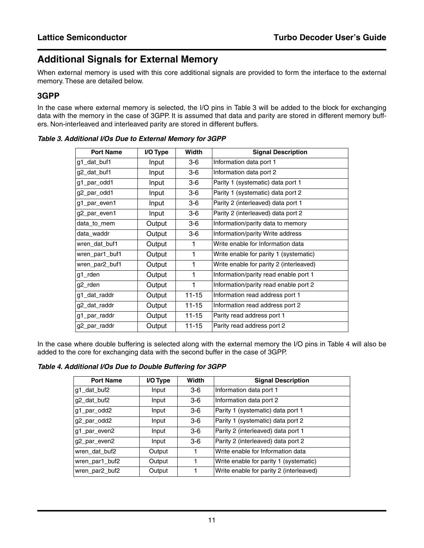## **Additional Signals for External Memory**

When external memory is used with this core additional signals are provided to form the interface to the external memory. These are detailed below.

### **3GPP**

In the case where external memory is selected, the I/O pins in [Table 3](#page-10-0) will be added to the block for exchanging data with the memory in the case of 3GPP. It is assumed that data and parity are stored in different memory buffers. Non-interleaved and interleaved parity are stored in different buffers.

| <b>Port Name</b> | I/O Type | Width     | <b>Signal Description</b>               |
|------------------|----------|-----------|-----------------------------------------|
| g1_dat_buf1      | Input    | 3-6       | Information data port 1                 |
| g2_dat_buf1      | Input    | 3-6       | Information data port 2                 |
| g1_par_odd1      | Input    | 3-6       | Parity 1 (systematic) data port 1       |
| g2_par_odd1      | Input    | $3-6$     | Parity 1 (systematic) data port 2       |
| g1_par_even1     | Input    | $3-6$     | Parity 2 (interleaved) data port 1      |
| g2_par_even1     | Input    | 3-6       | Parity 2 (interleaved) data port 2      |
| data_to_mem      | Output   | 3-6       | Information/parity data to memory       |
| data_waddr       | Output   | 3-6       | Information/parity Write address        |
| wren dat buf1    | Output   | 1         | Write enable for Information data       |
| wren par1 buf1   | Output   | 1         | Write enable for parity 1 (systematic)  |
| wren par2 buf1   | Output   | 1         | Write enable for parity 2 (interleaved) |
| g1_rden          | Output   | 1         | Information/parity read enable port 1   |
| g2_rden          | Output   | 1         | Information/parity read enable port 2   |
| g1_dat_raddr     | Output   | $11 - 15$ | Information read address port 1         |
| g2_dat_raddr     | Output   | $11 - 15$ | Information read address port 2         |
| g1_par_raddr     | Output   | $11 - 15$ | Parity read address port 1              |
| g2_par_raddr     | Output   | $11 - 15$ | Parity read address port 2              |

<span id="page-10-0"></span>*Table 3. Additional I/Os Due to External Memory for 3GPP*

In the case where double buffering is selected along with the external memory the I/O pins in [Table 4](#page-10-1) will also be added to the core for exchanging data with the second buffer in the case of 3GPP.

<span id="page-10-1"></span>*Table 4. Additional I/Os Due to Double Buffering for 3GPP*

| <b>Port Name</b> | I/O Type | Width | <b>Signal Description</b>               |
|------------------|----------|-------|-----------------------------------------|
| g1_dat_buf2      | Input    | $3-6$ | Information data port 1                 |
| g2 dat buf2      | Input    | $3-6$ | Information data port 2                 |
| g1 par odd2      | Input    | 3-6   | Parity 1 (systematic) data port 1       |
| g2 par odd2      | Input    | $3-6$ | Parity 1 (systematic) data port 2       |
| g1 par even2     | Input    | $3-6$ | Parity 2 (interleaved) data port 1      |
| g2_par_even2     | Input    | $3-6$ | Parity 2 (interleaved) data port 2      |
| wren_dat_buf2    | Output   |       | Write enable for Information data       |
| wren_par1_buf2   | Output   |       | Write enable for parity 1 (systematic)  |
| wren_par2_buf2   | Output   |       | Write enable for parity 2 (interleaved) |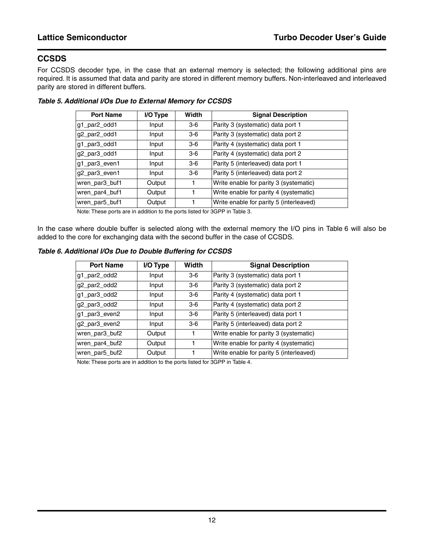## **CCSDS**

For CCSDS decoder type, in the case that an external memory is selected; the following additional pins are required. It is assumed that data and parity are stored in different memory buffers. Non-interleaved and interleaved parity are stored in different buffers.

| <b>Port Name</b> | I/O Type | Width | <b>Signal Description</b>               |
|------------------|----------|-------|-----------------------------------------|
| g1_par2_odd1     | Input    | $3-6$ | Parity 3 (systematic) data port 1       |
| g2_par2_odd1     | Input    | $3-6$ | Parity 3 (systematic) data port 2       |
| g1_par3_odd1     | Input    | 3-6   | Parity 4 (systematic) data port 1       |
| g2 par3 odd1     | Input    | $3-6$ | Parity 4 (systematic) data port 2       |
| g1_par3_even1    | Input    | $3-6$ | Parity 5 (interleaved) data port 1      |
| g2 par3 even1    | Input    | $3-6$ | Parity 5 (interleaved) data port 2      |
| wren_par3_buf1   | Output   | 1     | Write enable for parity 3 (systematic)  |
| wren par4 buf1   | Output   | 1     | Write enable for parity 4 (systematic)  |
| wren_par5_buf1   | Output   |       | Write enable for parity 5 (interleaved) |

*Table 5. Additional I/Os Due to External Memory for CCSDS*

Note: These ports are in addition to the ports listed for 3GPP in [Table 3.](#page-10-0)

In the case where double buffer is selected along with the external memory the I/O pins in [Table 6](#page-11-0) will also be added to the core for exchanging data with the second buffer in the case of CCSDS.

<span id="page-11-0"></span>*Table 6. Additional I/Os Due to Double Buffering for CCSDS*

| <b>Port Name</b> | I/O Type | Width | <b>Signal Description</b>               |
|------------------|----------|-------|-----------------------------------------|
| g1 par2 odd2     | Input    | $3-6$ | Parity 3 (systematic) data port 1       |
| g2_par2_odd2     | Input    | 3-6   | Parity 3 (systematic) data port 2       |
| g1 par3 odd2     | Input    | 3-6   | Parity 4 (systematic) data port 1       |
| g2 par3 odd2     | Input    | 3-6   | Parity 4 (systematic) data port 2       |
| g1 par3 even2    | Input    | $3-6$ | Parity 5 (interleaved) data port 1      |
| g2_par3_even2    | Input    | $3-6$ | Parity 5 (interleaved) data port 2      |
| wren_par3_buf2   | Output   | 1     | Write enable for parity 3 (systematic)  |
| wren_par4_buf2   | Output   | 1     | Write enable for parity 4 (systematic)  |
| wren_par5_buf2   | Output   | 1     | Write enable for parity 5 (interleaved) |

Note: These ports are in addition to the ports listed for 3GPP in [Table 4.](#page-10-1)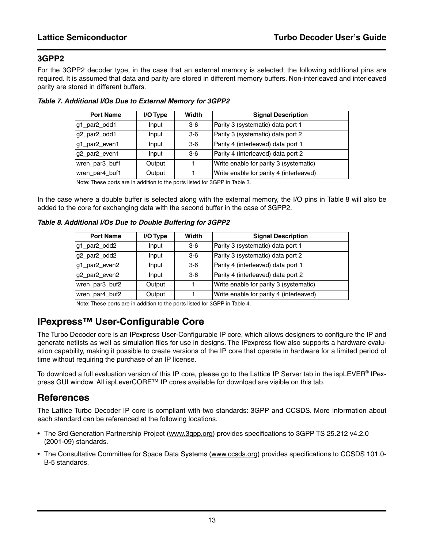## **3GPP2**

For the 3GPP2 decoder type, in the case that an external memory is selected; the following additional pins are required. It is assumed that data and parity are stored in different memory buffers. Non-interleaved and interleaved parity are stored in different buffers.

| <b>Port Name</b>                                                           | I/O Type | Width | <b>Signal Description</b>               |
|----------------------------------------------------------------------------|----------|-------|-----------------------------------------|
| g1_par2_odd1                                                               | Input    | $3-6$ | Parity 3 (systematic) data port 1       |
| g2_par2_odd1                                                               | Input    | $3-6$ | Parity 3 (systematic) data port 2       |
| g1_par2_even1                                                              | Input    | $3-6$ | Parity 4 (interleaved) data port 1      |
| g2_par2_even1                                                              | Input    | $3-6$ | Parity 4 (interleaved) data port 2      |
| wren_par3_buf1                                                             | Output   |       | Write enable for parity 3 (systematic)  |
| wren_par4_buf1                                                             | Output   |       | Write enable for parity 4 (interleaved) |
| Mata, Thagan was the anglished that the second linted for OODD in Table O. |          |       |                                         |

*Table 7. Additional I/Os Due to External Memory for 3GPP2*

Note: These ports are in addition to the ports listed for 3GPP in [Table 3.](#page-10-0)

In the case where a double buffer is selected along with the external memory, the I/O pins in [Table 8](#page-12-0) will also be added to the core for exchanging data with the second buffer in the case of 3GPP2.

#### <span id="page-12-0"></span>*Table 8. Additional I/Os Due to Double Buffering for 3GPP2*

| <b>Port Name</b> | I/O Type | Width | <b>Signal Description</b>               |
|------------------|----------|-------|-----------------------------------------|
| g1 par2 odd2     | Input    | $3-6$ | Parity 3 (systematic) data port 1       |
| g2_par2_odd2     | Input    | $3-6$ | Parity 3 (systematic) data port 2       |
| g1_par2_even2    | Input    | $3-6$ | Parity 4 (interleaved) data port 1      |
| g2_par2_even2    | Input    | $3-6$ | Parity 4 (interleaved) data port 2      |
| wren_par3_buf2   | Output   |       | Write enable for parity 3 (systematic)  |
| wren_par4_buf2   | Output   |       | Write enable for parity 4 (interleaved) |

Note: These ports are in addition to the ports listed for 3GPP in [Table 4.](#page-10-1)

## **IPexpress™ User-Configurable Core**

The Turbo Decoder core is an IPexpress User-Configurable IP core, which allows designers to configure the IP and generate netlists as well as simulation files for use in designs. The IPexpress flow also supports a hardware evaluation capability, making it possible to create versions of the IP core that operate in hardware for a limited period of time without requiring the purchase of an IP license.

To download a full evaluation version of this IP core, please go to the Lattice IP Server tab in the ispLEVER® IPexpress GUI window. All ispLeverCORE™ IP cores available for download are visible on this tab.

## **References**

The Lattice Turbo Decoder IP core is compliant with two standards: 3GPP and CCSDS. More information about each standard can be referenced at the following locations.

- The 3rd Generation Partnership Project (www.3gpp.org) provides specifications to 3GPP TS 25.212 v4.2.0 (2001-09) standards.
- The Consultative Committee for Space Data Systems (www.ccsds.org) provides specifications to CCSDS 101.0- B-5 standards.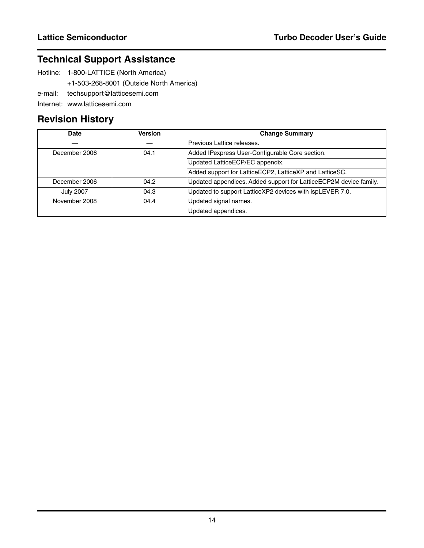# **Technical Support Assistance**

Hotline: 1-800-LATTICE (North America) +1-503-268-8001 (Outside North America) e-mail: techsupport@latticesemi.com Internet: www.latticesemi.com

# **Revision History**

| Date             | Version | <b>Change Summary</b>                                              |
|------------------|---------|--------------------------------------------------------------------|
|                  |         | Previous Lattice releases.                                         |
| December 2006    | 04.1    | Added IPexpress User-Configurable Core section.                    |
|                  |         | Updated LatticeECP/EC appendix.                                    |
|                  |         | Added support for LatticeECP2, LatticeXP and LatticeSC.            |
| December 2006    | 04.2    | Updated appendices. Added support for Lattice ECP2M device family. |
| <b>July 2007</b> | 04.3    | Updated to support LatticeXP2 devices with ispLEVER 7.0.           |
| November 2008    | 04.4    | Updated signal names.                                              |
|                  |         | Updated appendices.                                                |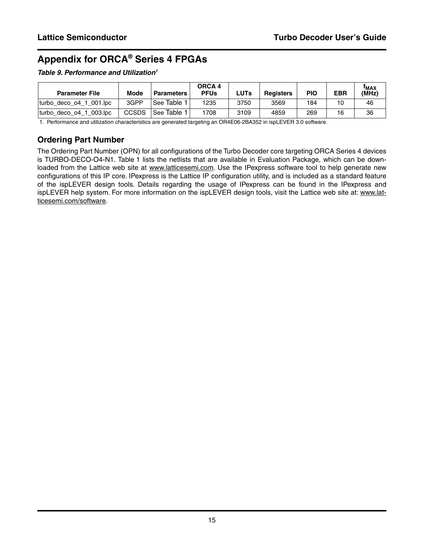# **Appendix for ORCA® Series 4 FPGAs**

| Table 9. Performance and Utilization <sup>1</sup> |  |  |  |  |
|---------------------------------------------------|--|--|--|--|
|---------------------------------------------------|--|--|--|--|

| <b>Parameter File</b>      | Mode         | <b>Parameters</b> | ORCA 4<br><b>PFUs</b> | <b>LUTs</b> | <b>Registers</b> | PIO | <b>EBR</b> | <sup>T</sup> MAX<br>(MHz) |
|----------------------------|--------------|-------------------|-----------------------|-------------|------------------|-----|------------|---------------------------|
| 001.lpc<br>turbo deco o4 1 | 3GPP         | See Table 1       | 1235                  | 3750        | 3569             | 184 | 10         | 46                        |
| 003.lpc<br>turbo deco o4 1 | <b>CCSDS</b> | See Table 1       | 1708                  | 3109        | 4859             | 269 | 16         | 36                        |

1. Performance and utilization characteristics are generated targeting an OR4E06-2BA352 in ispLEVER 3.0 software.

## **Ordering Part Number**

The Ordering Part Number (OPN) for all configurations of the Turbo Decoder core targeting ORCA Series 4 devices is TURBO-DECO-O4-N1. [Table 1](#page-8-0) lists the netlists that are available in Evaluation Package, which can be downloaded from the Lattice web site at www.latticesemi.com. Use the IPexpress software tool to help generate new configurations of this IP core. IPexpress is the Lattice IP configuration utility, and is included as a standard feature of the ispLEVER design tools. Details regarding the usage of IPexpress can be found in the IPexpress and ispLEVER help system. For more information on the ispLEVER design tools, visit the Lattice web site at: www.latticesemi.com/software.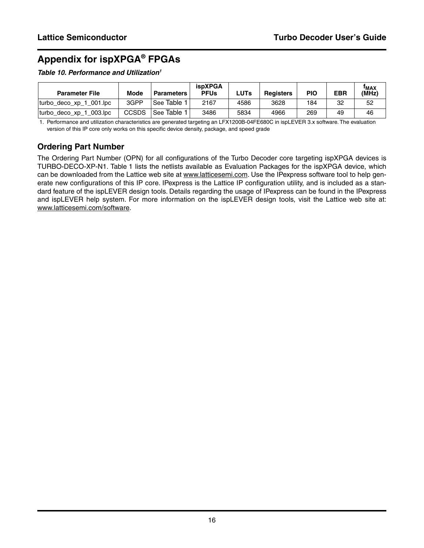# **Appendix for ispXPGA® FPGAs**

#### *Table 10. Performance and Utilization1*

| <b>Parameter File</b>             | Mode         | <b>Parameters</b> | <b>ispXPGA</b><br><b>PFUs</b> | <b>LUTs</b> | <b>Registers</b> | PIO | <b>EBR</b> | <b>'MAX</b><br>(MHz) |
|-----------------------------------|--------------|-------------------|-------------------------------|-------------|------------------|-----|------------|----------------------|
| turbo_deco_xp_1_001.lpc           | 3GPP         | See Table 1       | 2167                          | 4586        | 3628             | 184 | 32         | 52                   |
| 003.lpc<br>$ turbo_{deco_xpp_1} $ | <b>CCSDS</b> | See Table 1       | 3486                          | 5834        | 4966             | 269 | 49         | 46                   |

1. Performance and utilization characteristics are generated targeting an LFX1200B-04FE680C in ispLEVER 3.x software. The evaluation version of this IP core only works on this specific device density, package, and speed grade

## **Ordering Part Number**

The Ordering Part Number (OPN) for all configurations of the Turbo Decoder core targeting ispXPGA devices is TURBO-DECO-XP-N1. [Table 1](#page-8-0) lists the netlists available as Evaluation Packages for the ispXPGA device, which can be downloaded from the Lattice web site at www.latticesemi.com. Use the IPexpress software tool to help generate new configurations of this IP core. IPexpress is the Lattice IP configuration utility, and is included as a standard feature of the ispLEVER design tools. Details regarding the usage of IPexpress can be found in the IPexpress and ispLEVER help system. For more information on the ispLEVER design tools, visit the Lattice web site at: www.latticesemi.com/software.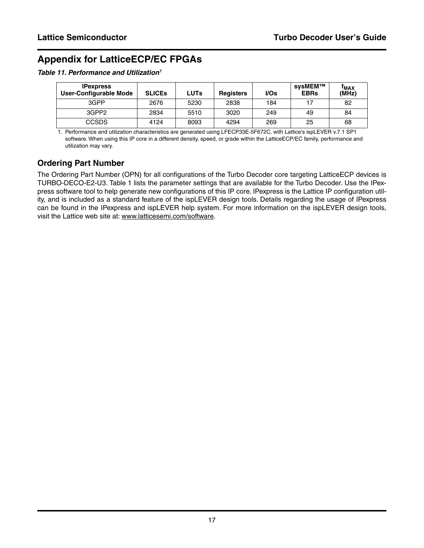# **Appendix for LatticeECP/EC FPGAs**

*Table 11. Performance and Utilization1*

| <b>IPexpress</b><br>User-Configurable Mode | <b>SLICES</b> | <b>LUTs</b> | <b>Registers</b> | I/Os | svsMEM™<br><b>EBRs</b> | ™ах<br>(MHz) |
|--------------------------------------------|---------------|-------------|------------------|------|------------------------|--------------|
| 3GPP                                       | 2676          | 5230        | 2838             | 184  |                        | 82           |
| 3GPP <sub>2</sub>                          | 2834          | 5510        | 3020             | 249  | 49                     | 84           |
| <b>CCSDS</b>                               | 4124          | 8093        | 4294             | 269  | 25                     | 68           |

1. Performance and utilization characteristics are generated using LFECP33E-5F672C, with Lattice's ispLEVER v.7.1 SP1 software. When using this IP core in a different density, speed, or grade within the LatticeECP/EC family, performance and utilization may vary.

## **Ordering Part Number**

The Ordering Part Number (OPN) for all configurations of the Turbo Decoder core targeting LatticeECP devices is TURBO-DECO-E2-U3. [Table 1](#page-8-0) lists the parameter settings that are available for the Turbo Decoder. Use the IPexpress software tool to help generate new configurations of this IP core. IPexpress is the Lattice IP configuration utility, and is included as a standard feature of the ispLEVER design tools. Details regarding the usage of IPexpress can be found in the IPexpress and ispLEVER help system. For more information on the ispLEVER design tools, visit the Lattice web site at: www.latticesemi.com/software.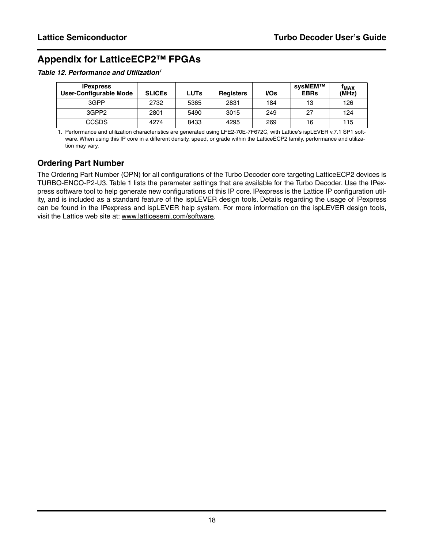# **Appendix for LatticeECP2™ FPGAs**

|  | Table 12. Performance and Utilization <sup>1</sup> |  |  |
|--|----------------------------------------------------|--|--|
|--|----------------------------------------------------|--|--|

| <b>IPexpress</b><br>User-Configurable Mode | <b>SLICES</b> | <b>LUTs</b> | <b>Registers</b> | I/Os | sysMEM™<br><b>EBRs</b> | <b>IMAX</b><br>(MHz) |
|--------------------------------------------|---------------|-------------|------------------|------|------------------------|----------------------|
| 3GPP                                       | 2732          | 5365        | 2831             | 184  | 13                     | 126                  |
| 3GPP <sub>2</sub>                          | 2801          | 5490        | 3015             | 249  | 27                     | 124                  |
| <b>CCSDS</b>                               | 4274          | 8433        | 4295             | 269  | 16                     | 115                  |

1. Performance and utilization characteristics are generated using LFE2-70E-7F672C, with Lattice's ispLEVER v.7.1 SP1 software. When using this IP core in a different density, speed, or grade within the LatticeECP2 family, performance and utilization may vary.

### **Ordering Part Number**

The Ordering Part Number (OPN) for all configurations of the Turbo Decoder core targeting LatticeECP2 devices is TURBO-ENCO-P2-U3. [Table 1](#page-8-0) lists the parameter settings that are available for the Turbo Decoder. Use the IPexpress software tool to help generate new configurations of this IP core. IPexpress is the Lattice IP configuration utility, and is included as a standard feature of the ispLEVER design tools. Details regarding the usage of IPexpress can be found in the IPexpress and ispLEVER help system. For more information on the ispLEVER design tools, visit the Lattice web site at: www.latticesemi.com/software.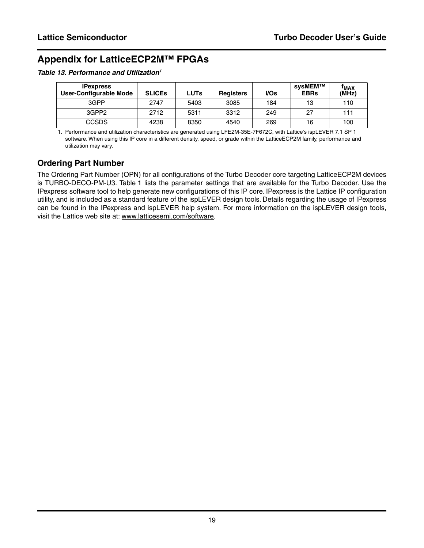# **Appendix for LatticeECP2M™ FPGAs**

|  | Table 13. Performance and Utilization <sup>1</sup> |  |  |
|--|----------------------------------------------------|--|--|
|--|----------------------------------------------------|--|--|

| <b>IPexpress</b><br>User-Configurable Mode | <b>SLICES</b> | <b>LUTs</b> | <b>Registers</b> | I/Os | sysMEM™<br><b>EBRs</b> | <sup>†</sup> MAX<br>(MHz) |
|--------------------------------------------|---------------|-------------|------------------|------|------------------------|---------------------------|
| 3GPP                                       | 2747          | 5403        | 3085             | 184  | 13                     | 110                       |
| 3GPP <sub>2</sub>                          | 2712          | 5311        | 3312             | 249  | 27                     | 111                       |
| <b>CCSDS</b>                               | 4238          | 8350        | 4540             | 269  | 16                     | 100                       |

1. Performance and utilization characteristics are generated using LFE2M-35E-7F672C, with Lattice's ispLEVER 7.1 SP 1 software. When using this IP core in a different density, speed, or grade within the LatticeECP2M family, performance and utilization may vary.

### **Ordering Part Number**

The Ordering Part Number (OPN) for all configurations of the Turbo Decoder core targeting LatticeECP2M devices is TURBO-DECO-PM-U3. [Table 1](#page-8-0) lists the parameter settings that are available for the Turbo Decoder. Use the IPexpress software tool to help generate new configurations of this IP core. IPexpress is the Lattice IP configuration utility, and is included as a standard feature of the ispLEVER design tools. Details regarding the usage of IPexpress can be found in the IPexpress and ispLEVER help system. For more information on the ispLEVER design tools, visit the Lattice web site at: www.latticesemi.com/software.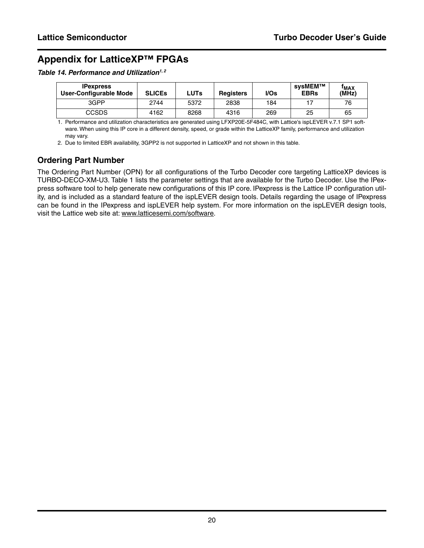# **Appendix for LatticeXP™ FPGAs**

Table 14. Performance and Utilization<sup>1,2</sup>

| <b>IPexpress</b><br><b>User-Configurable Mode</b> | <b>SLICES</b> | <b>LUTs</b> | <b>Registers</b> | I/Os | svsMEM™<br><b>EBRs</b> | ™ах<br>(MHz) |
|---------------------------------------------------|---------------|-------------|------------------|------|------------------------|--------------|
| 3GPP                                              | 2744          | 5372        | 2838             | 184  |                        | 76           |
| CCSDS                                             | 4162          | 8268        | 4316             | 269  | 25                     | 65           |
|                                                   |               |             |                  |      |                        |              |

1. Performance and utilization characteristics are generated using LFXP20E-5F484C, with Lattice's ispLEVER v.7.1 SP1 software. When using this IP core in a different density, speed, or grade within the LatticeXP family, performance and utilization may vary.

2. Due to limited EBR availability, 3GPP2 is not supported in LatticeXP and not shown in this table.

### **Ordering Part Number**

The Ordering Part Number (OPN) for all configurations of the Turbo Decoder core targeting LatticeXP devices is TURBO-DECO-XM-U3. [Table 1](#page-8-0) lists the parameter settings that are available for the Turbo Decoder. Use the IPexpress software tool to help generate new configurations of this IP core. IPexpress is the Lattice IP configuration utility, and is included as a standard feature of the ispLEVER design tools. Details regarding the usage of IPexpress can be found in the IPexpress and ispLEVER help system. For more information on the ispLEVER design tools, visit the Lattice web site at: www.latticesemi.com/software.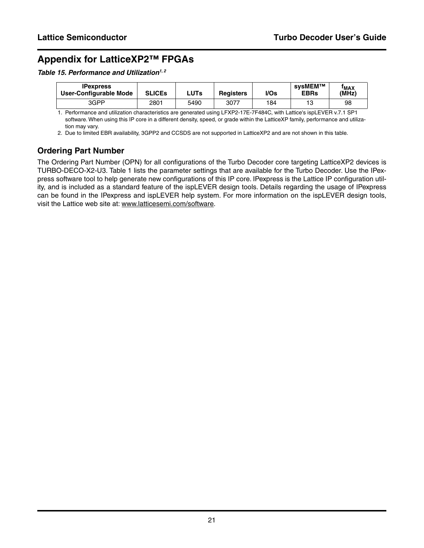# **Appendix for LatticeXP2™ FPGAs**

Table 15. Performance and Utilization<sup>1,2</sup>

| <b>IPexpress</b><br>User-Configurable Mode                                                                                 | <b>SLICES</b> | <b>LUTs</b> | <b>Registers</b> | I/Os | svsMEM™<br><b>EBRs</b> | <b>IMAX</b><br>(MHz) |
|----------------------------------------------------------------------------------------------------------------------------|---------------|-------------|------------------|------|------------------------|----------------------|
| 3GPP                                                                                                                       | 2801          | 5490        | 3077             | 184  |                        | 98                   |
| A I Dealers and a substitution of the contract of the contract of the LICAD APP REAGAO and the Language CHI EMPD of RAINDA |               |             |                  |      |                        |                      |

1. Performance and utilization characteristics are generated using LFXP2-17E-7F484C, with Lattice's ispLEVER v.7.1 SP1 software. When using this IP core in a different density, speed, or grade within the LatticeXP family, performance and utilization may vary.

2. Due to limited EBR availability, 3GPP2 and CCSDS are not supported in LatticeXP2 and are not shown in this table.

## **Ordering Part Number**

The Ordering Part Number (OPN) for all configurations of the Turbo Decoder core targeting LatticeXP2 devices is TURBO-DECO-X2-U3. [Table 1](#page-8-0) lists the parameter settings that are available for the Turbo Decoder. Use the IPexpress software tool to help generate new configurations of this IP core. IPexpress is the Lattice IP configuration utility, and is included as a standard feature of the ispLEVER design tools. Details regarding the usage of IPexpress can be found in the IPexpress and ispLEVER help system. For more information on the ispLEVER design tools, visit the Lattice web site at: www.latticesemi.com/software.